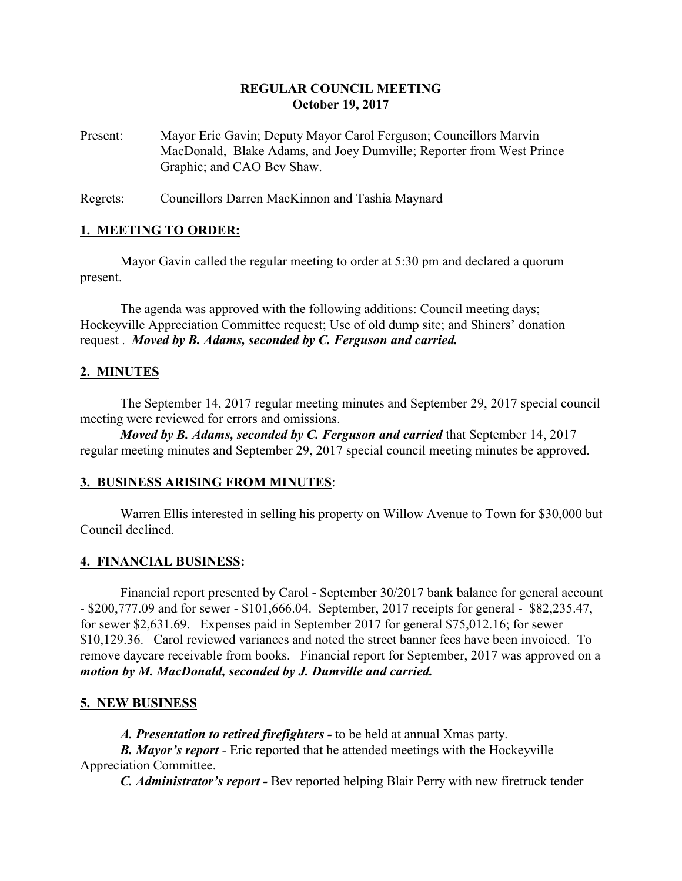## **REGULAR COUNCIL MEETING October 19, 2017**

Present: Mayor Eric Gavin; Deputy Mayor Carol Ferguson; Councillors Marvin MacDonald, Blake Adams, and Joey Dumville; Reporter from West Prince Graphic; and CAO Bev Shaw.

Regrets: Councillors Darren MacKinnon and Tashia Maynard

#### **1. MEETING TO ORDER:**

Mayor Gavin called the regular meeting to order at 5:30 pm and declared a quorum present.

The agenda was approved with the following additions: Council meeting days; Hockeyville Appreciation Committee request; Use of old dump site; and Shiners' donation request . *Moved by B. Adams, seconded by C. Ferguson and carried.*

### **2. MINUTES**

The September 14, 2017 regular meeting minutes and September 29, 2017 special council meeting were reviewed for errors and omissions.

*Moved by B. Adams, seconded by C. Ferguson and carried* that September 14, 2017 regular meeting minutes and September 29, 2017 special council meeting minutes be approved.

#### **3. BUSINESS ARISING FROM MINUTES**:

Warren Ellis interested in selling his property on Willow Avenue to Town for \$30,000 but Council declined.

#### **4. FINANCIAL BUSINESS:**

Financial report presented by Carol - September 30/2017 bank balance for general account - \$200,777.09 and for sewer - \$101,666.04. September, 2017 receipts for general - \$82,235.47, for sewer \$2,631.69. Expenses paid in September 2017 for general \$75,012.16; for sewer \$10,129.36. Carol reviewed variances and noted the street banner fees have been invoiced. To remove daycare receivable from books. Financial report for September, 2017 was approved on a *motion by M. MacDonald, seconded by J. Dumville and carried.*

#### **5. NEW BUSINESS**

*A. Presentation to retired firefighters -* to be held at annual Xmas party.

*B. Mayor's report* - Eric reported that he attended meetings with the Hockeyville Appreciation Committee.

*C. Administrator's report -* Bev reported helping Blair Perry with new firetruck tender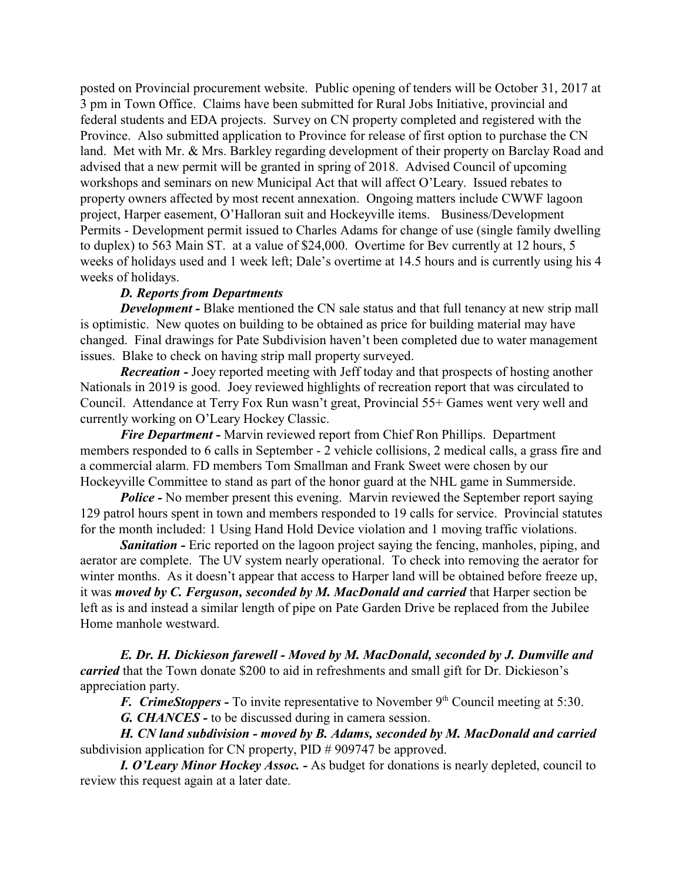posted on Provincial procurement website. Public opening of tenders will be October 31, 2017 at 3 pm in Town Office. Claims have been submitted for Rural Jobs Initiative, provincial and federal students and EDA projects. Survey on CN property completed and registered with the Province. Also submitted application to Province for release of first option to purchase the CN land. Met with Mr. & Mrs. Barkley regarding development of their property on Barclay Road and advised that a new permit will be granted in spring of 2018. Advised Council of upcoming workshops and seminars on new Municipal Act that will affect O'Leary. Issued rebates to property owners affected by most recent annexation. Ongoing matters include CWWF lagoon project, Harper easement, O'Halloran suit and Hockeyville items. Business/Development Permits - Development permit issued to Charles Adams for change of use (single family dwelling to duplex) to 563 Main ST. at a value of \$24,000. Overtime for Bev currently at 12 hours, 5 weeks of holidays used and 1 week left; Dale's overtime at 14.5 hours and is currently using his 4 weeks of holidays.

### *D. Reports from Departments*

*Development -* Blake mentioned the CN sale status and that full tenancy at new strip mall is optimistic. New quotes on building to be obtained as price for building material may have changed. Final drawings for Pate Subdivision haven't been completed due to water management issues. Blake to check on having strip mall property surveyed.

*Recreation -* Joey reported meeting with Jeff today and that prospects of hosting another Nationals in 2019 is good. Joey reviewed highlights of recreation report that was circulated to Council. Attendance at Terry Fox Run wasn't great, Provincial 55+ Games went very well and currently working on O'Leary Hockey Classic.

*Fire Department -* Marvin reviewed report from Chief Ron Phillips. Department members responded to 6 calls in September - 2 vehicle collisions, 2 medical calls, a grass fire and a commercial alarm. FD members Tom Smallman and Frank Sweet were chosen by our Hockeyville Committee to stand as part of the honor guard at the NHL game in Summerside.

*Police* - No member present this evening. Marvin reviewed the September report saying 129 patrol hours spent in town and members responded to 19 calls for service. Provincial statutes for the month included: 1 Using Hand Hold Device violation and 1 moving traffic violations.

**Sanitation -** Eric reported on the lagoon project saying the fencing, manholes, piping, and aerator are complete. The UV system nearly operational. To check into removing the aerator for winter months. As it doesn't appear that access to Harper land will be obtained before freeze up, it was *moved by C. Ferguson, seconded by M. MacDonald and carried* that Harper section be left as is and instead a similar length of pipe on Pate Garden Drive be replaced from the Jubilee Home manhole westward.

*E. Dr. H. Dickieson farewell - Moved by M. MacDonald, seconded by J. Dumville and carried* that the Town donate \$200 to aid in refreshments and small gift for Dr. Dickieson's appreciation party.

*F. CrimeStoppers* - To invite representative to November 9<sup>th</sup> Council meeting at 5:30.

*G. CHANCES -* to be discussed during in camera session.

*H. CN land subdivision - moved by B. Adams, seconded by M. MacDonald and carried* subdivision application for CN property, PID # 909747 be approved.

*I. O'Leary Minor Hockey Assoc. -* As budget for donations is nearly depleted, council to review this request again at a later date.